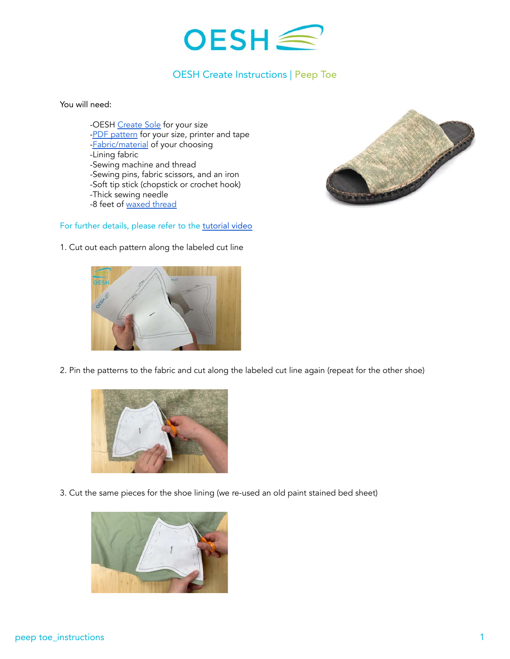

## OESH Create Instructions | Peep Toe

You will need:

-OESH [Create Sole](https://oeshshoes.com/product/create-soles/) for your size [-PDF pattern](http://ftpri2o23ns3wj8ke46t9tum-wpengine.netdna-ssl.com/wp-content/uploads/2021/06/peep-toe-patterns_reduced.pdf) for your size, printer and tape [-Fabric/material](https://oeshshoes.com/create/oesh-create-materials/) of your choosing -Lining fabric -Sewing machine and thread -Sewing pins, fabric scissors, and an iron -Soft tip stick (chopstick or crochet hook) -Thick sewing needle -8 feet of [waxed thread](https://www.amazon.com/Leather-Sewing-Thread-Stitching-String/dp/B06XKP9KFJ?th=1)

## For further details, please refer to the [tutorial video](https://youtu.be/k1KgvAly8pY)



1. Cut out each pattern along the labeled cut line



2. Pin the patterns to the fabric and cut along the labeled cut line again (repeat for the other shoe)



3. Cut the same pieces for the shoe lining (we re-used an old paint stained bed sheet)

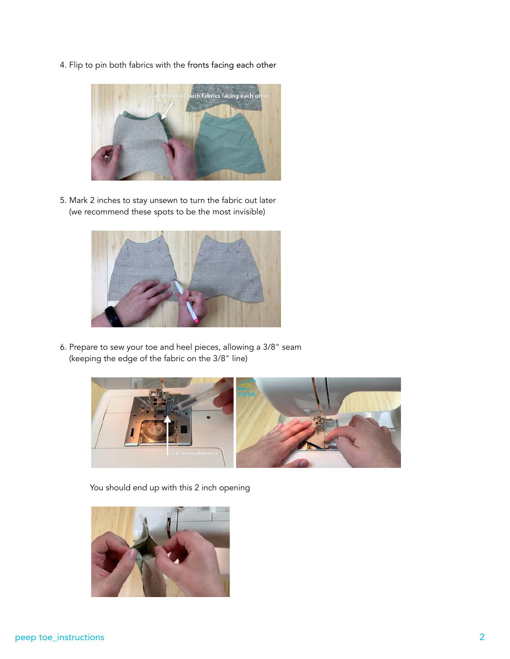4. Flip to pin both fabrics with the fronts facing each other



5. Mark 2 inches to stay unsewn to turn the fabric out later (we recommend these spots to be the most invisible)



6. Prepare to sew your toe and heel pieces, allowing a 3/8" seam (keeping the edge of the fabric on the 3/8" line)



You should end up with this 2 inch opening

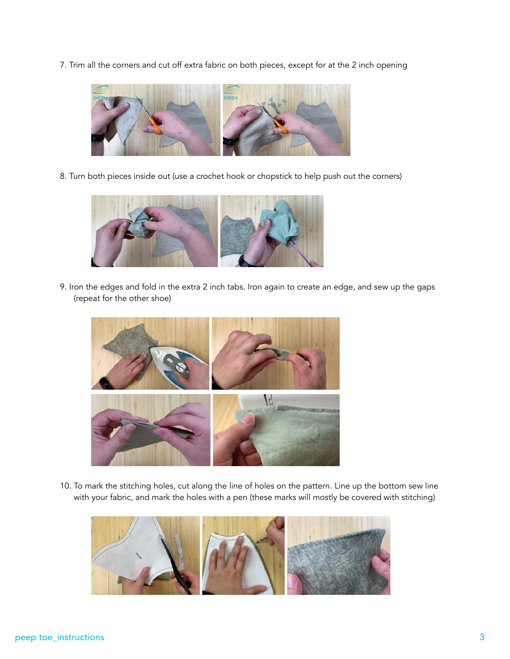7. Trim all the corners and cut off extra fabric on both pieces, except for at the 2 inch opening



8. Turn both pieces inside out (use a crochet hook or chopstick to help push out the corners)



9. Iron the edges and fold in the extra 2 inch tabs. Iron again to create an edge, and sew up the gaps (repeat for the other shoe)



10. To mark the stitching holes, cut along the line of holes on the pattern. Line up the bottom sew line with your fabric, and mark the holes with a pen (these marks will mostly be covered with stitching)

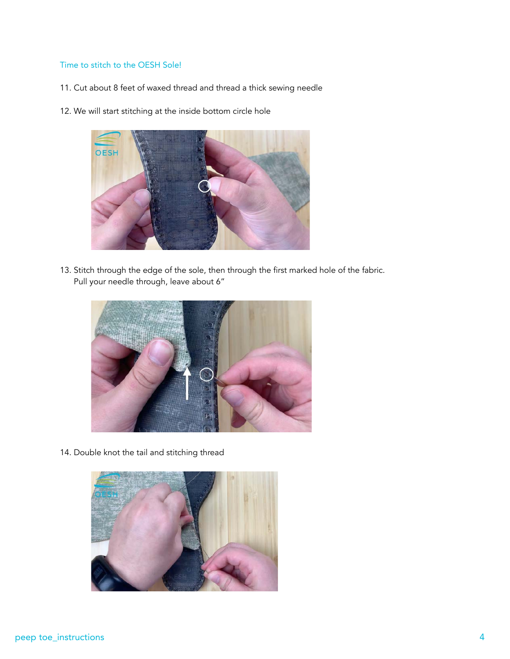## Time to stitch to the OESH Sole!

- 11. Cut about 8 feet of waxed thread and thread a thick sewing needle
- 12. We will start stitching at the inside bottom circle hole



13. Stitch through the edge of the sole, then through the first marked hole of the fabric. Pull your needle through, leave about 6"



14. Double knot the tail and stitching thread

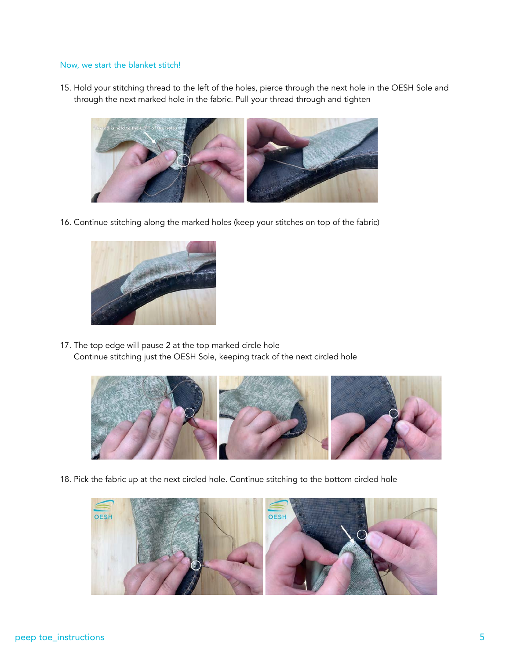## Now, we start the blanket stitch!

15. Hold your stitching thread to the left of the holes, pierce through the next hole in the OESH Sole and through the next marked hole in the fabric. Pull your thread through and tighten



16. Continue stitching along the marked holes (keep your stitches on top of the fabric)



17. The top edge will pause 2 at the top marked circle hole Continue stitching just the OESH Sole, keeping track of the next circled hole



18. Pick the fabric up at the next circled hole. Continue stitching to the bottom circled hole